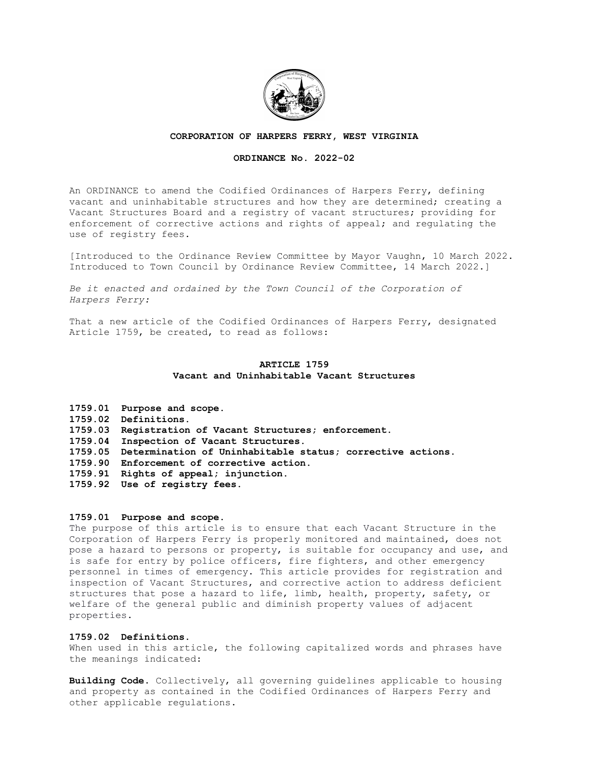

#### **CORPORATION OF HARPERS FERRY, WEST VIRGINIA**

## **ORDINANCE No. 2022-02**

An ORDINANCE to amend the Codified Ordinances of Harpers Ferry, defining vacant and uninhabitable structures and how they are determined; creating a Vacant Structures Board and a registry of vacant structures; providing for enforcement of corrective actions and rights of appeal; and regulating the use of registry fees.

[Introduced to the Ordinance Review Committee by Mayor Vaughn, 10 March 2022. Introduced to Town Council by Ordinance Review Committee, 14 March 2022.]

*Be it enacted and ordained by the Town Council of the Corporation of Harpers Ferry:*

That a new article of the Codified Ordinances of Harpers Ferry, designated Article 1759, be created, to read as follows:

# **ARTICLE 1759 Vacant and Uninhabitable Vacant Structures**

**1759.01 Purpose and scope. 1759.02 Definitions. 1759.03 Registration of Vacant Structures; enforcement. 1759.04 Inspection of Vacant Structures. 1759.05 Determination of Uninhabitable status; corrective actions. 1759.90 Enforcement of corrective action. 1759.91 Rights of appeal; injunction. 1759.92 Use of registry fees.**

#### **1759.01 Purpose and scope.**

The purpose of this article is to ensure that each Vacant Structure in the Corporation of Harpers Ferry is properly monitored and maintained, does not pose a hazard to persons or property, is suitable for occupancy and use, and is safe for entry by police officers, fire fighters, and other emergency personnel in times of emergency. This article provides for registration and inspection of Vacant Structures, and corrective action to address deficient structures that pose a hazard to life, limb, health, property, safety, or welfare of the general public and diminish property values of adjacent properties.

#### **1759.02 Definitions.**

When used in this article, the following capitalized words and phrases have the meanings indicated:

**Building Code**. Collectively, all governing guidelines applicable to housing and property as contained in the Codified Ordinances of Harpers Ferry and other applicable regulations.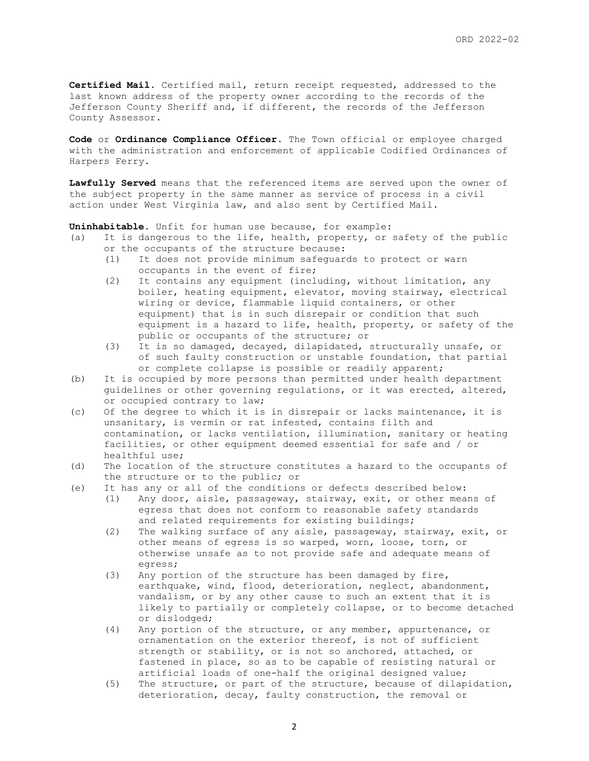**Certified Mail**. Certified mail, return receipt requested, addressed to the last known address of the property owner according to the records of the Jefferson County Sheriff and, if different, the records of the Jefferson County Assessor.

**Code** or **Ordinance Compliance Officer**. The Town official or employee charged with the administration and enforcement of applicable Codified Ordinances of Harpers Ferry.

**Lawfully Served** means that the referenced items are served upon the owner of the subject property in the same manner as service of process in a civil action under West Virginia law, and also sent by Certified Mail.

**Uninhabitable**. Unfit for human use because, for example:

- (a) It is dangerous to the life, health, property, or safety of the public or the occupants of the structure because:
	- (1) It does not provide minimum safeguards to protect or warn occupants in the event of fire;
	- (2) It contains any equipment (including, without limitation, any boiler, heating equipment, elevator, moving stairway, electrical wiring or device, flammable liquid containers, or other equipment) that is in such disrepair or condition that such equipment is a hazard to life, health, property, or safety of the public or occupants of the structure; or
	- (3) It is so damaged, decayed, dilapidated, structurally unsafe, or of such faulty construction or unstable foundation, that partial or complete collapse is possible or readily apparent;
- (b) It is occupied by more persons than permitted under health department guidelines or other governing regulations, or it was erected, altered, or occupied contrary to law;
- (c) Of the degree to which it is in disrepair or lacks maintenance, it is unsanitary, is vermin or rat infested, contains filth and contamination, or lacks ventilation, illumination, sanitary or heating facilities, or other equipment deemed essential for safe and / or healthful use;
- (d) The location of the structure constitutes a hazard to the occupants of the structure or to the public; or
- (e) It has any or all of the conditions or defects described below:
	- (1) Any door, aisle, passageway, stairway, exit, or other means of egress that does not conform to reasonable safety standards and related requirements for existing buildings;
	- (2) The walking surface of any aisle, passageway, stairway, exit, or other means of egress is so warped, worn, loose, torn, or otherwise unsafe as to not provide safe and adequate means of egress;
	- (3) Any portion of the structure has been damaged by fire, earthquake, wind, flood, deterioration, neglect, abandonment, vandalism, or by any other cause to such an extent that it is likely to partially or completely collapse, or to become detached or dislodged;
	- (4) Any portion of the structure, or any member, appurtenance, or ornamentation on the exterior thereof, is not of sufficient strength or stability, or is not so anchored, attached, or fastened in place, so as to be capable of resisting natural or artificial loads of one-half the original designed value;
	- (5) The structure, or part of the structure, because of dilapidation, deterioration, decay, faulty construction, the removal or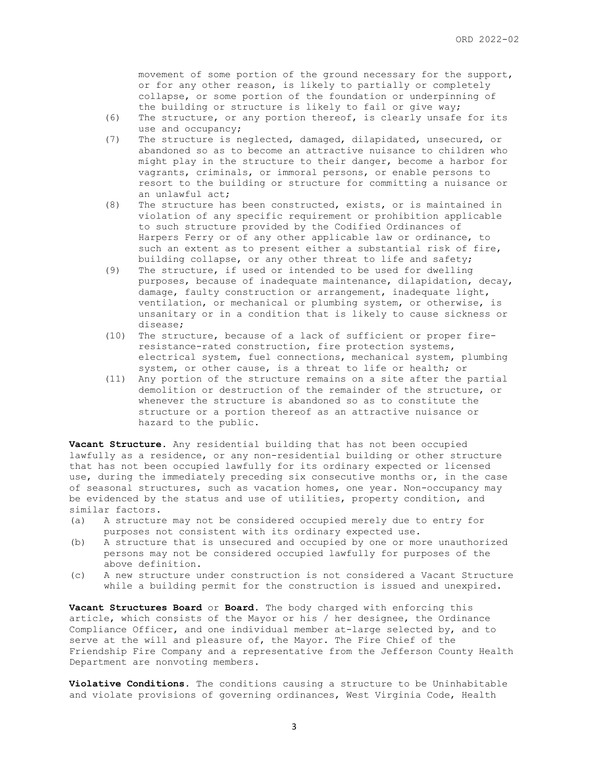movement of some portion of the ground necessary for the support, or for any other reason, is likely to partially or completely collapse, or some portion of the foundation or underpinning of the building or structure is likely to fail or give way;

- (6) The structure, or any portion thereof, is clearly unsafe for its use and occupancy;
- (7) The structure is neglected, damaged, dilapidated, unsecured, or abandoned so as to become an attractive nuisance to children who might play in the structure to their danger, become a harbor for vagrants, criminals, or immoral persons, or enable persons to resort to the building or structure for committing a nuisance or an unlawful act;
- (8) The structure has been constructed, exists, or is maintained in violation of any specific requirement or prohibition applicable to such structure provided by the Codified Ordinances of Harpers Ferry or of any other applicable law or ordinance, to such an extent as to present either a substantial risk of fire, building collapse, or any other threat to life and safety;
- (9) The structure, if used or intended to be used for dwelling purposes, because of inadequate maintenance, dilapidation, decay, damage, faulty construction or arrangement, inadequate light, ventilation, or mechanical or plumbing system, or otherwise, is unsanitary or in a condition that is likely to cause sickness or disease;
- (10) The structure, because of a lack of sufficient or proper fireresistance-rated construction, fire protection systems, electrical system, fuel connections, mechanical system, plumbing system, or other cause, is a threat to life or health; or
- (11) Any portion of the structure remains on a site after the partial demolition or destruction of the remainder of the structure, or whenever the structure is abandoned so as to constitute the structure or a portion thereof as an attractive nuisance or hazard to the public.

**Vacant Structure**. Any residential building that has not been occupied lawfully as a residence, or any non-residential building or other structure that has not been occupied lawfully for its ordinary expected or licensed use, during the immediately preceding six consecutive months or, in the case of seasonal structures, such as vacation homes, one year. Non-occupancy may be evidenced by the status and use of utilities, property condition, and similar factors.

- (a) A structure may not be considered occupied merely due to entry for purposes not consistent with its ordinary expected use.
- (b) A structure that is unsecured and occupied by one or more unauthorized persons may not be considered occupied lawfully for purposes of the above definition.
- (c) A new structure under construction is not considered a Vacant Structure while a building permit for the construction is issued and unexpired.

**Vacant Structures Board** or **Board**. The body charged with enforcing this article, which consists of the Mayor or his / her designee, the Ordinance Compliance Officer, and one individual member at-large selected by, and to serve at the will and pleasure of, the Mayor. The Fire Chief of the Friendship Fire Company and a representative from the Jefferson County Health Department are nonvoting members.

**Violative Conditions**. The conditions causing a structure to be Uninhabitable and violate provisions of governing ordinances, West Virginia Code, Health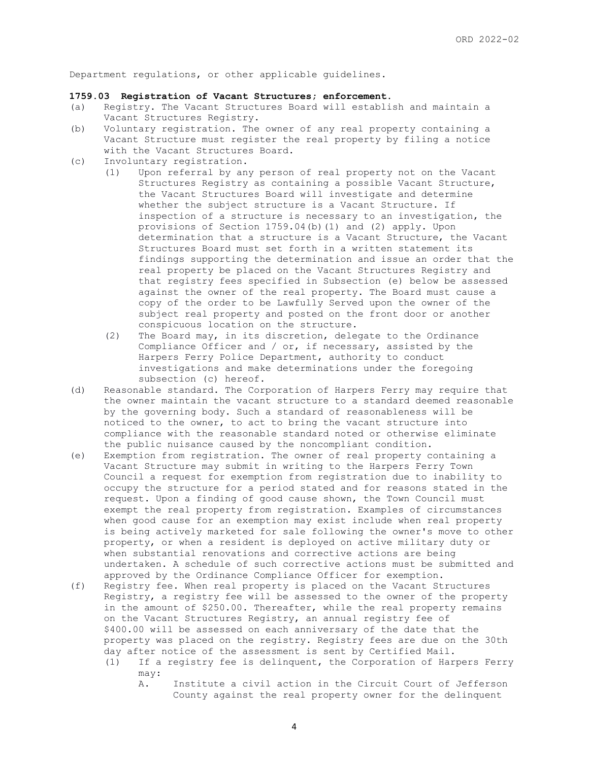Department regulations, or other applicable guidelines.

## **1759.03 Registration of Vacant Structures; enforcement.**

- (a) Registry. The Vacant Structures Board will establish and maintain a Vacant Structures Registry.
- (b) Voluntary registration. The owner of any real property containing a Vacant Structure must register the real property by filing a notice with the Vacant Structures Board.
- (c) Involuntary registration.
	- (1) Upon referral by any person of real property not on the Vacant Structures Registry as containing a possible Vacant Structure, the Vacant Structures Board will investigate and determine whether the subject structure is a Vacant Structure. If inspection of a structure is necessary to an investigation, the provisions of Section 1759.04(b)(1) and (2) apply. Upon determination that a structure is a Vacant Structure, the Vacant Structures Board must set forth in a written statement its findings supporting the determination and issue an order that the real property be placed on the Vacant Structures Registry and that registry fees specified in Subsection (e) below be assessed against the owner of the real property. The Board must cause a copy of the order to be Lawfully Served upon the owner of the subject real property and posted on the front door or another conspicuous location on the structure.
	- (2) The Board may, in its discretion, delegate to the Ordinance Compliance Officer and / or, if necessary, assisted by the Harpers Ferry Police Department, authority to conduct investigations and make determinations under the foregoing subsection (c) hereof.
- (d) Reasonable standard. The Corporation of Harpers Ferry may require that the owner maintain the vacant structure to a standard deemed reasonable by the governing body. Such a standard of reasonableness will be noticed to the owner, to act to bring the vacant structure into compliance with the reasonable standard noted or otherwise eliminate the public nuisance caused by the noncompliant condition.
- (e) Exemption from registration. The owner of real property containing a Vacant Structure may submit in writing to the Harpers Ferry Town Council a request for exemption from registration due to inability to occupy the structure for a period stated and for reasons stated in the request. Upon a finding of good cause shown, the Town Council must exempt the real property from registration. Examples of circumstances when good cause for an exemption may exist include when real property is being actively marketed for sale following the owner's move to other property, or when a resident is deployed on active military duty or when substantial renovations and corrective actions are being undertaken. A schedule of such corrective actions must be submitted and approved by the Ordinance Compliance Officer for exemption.
- (f) Registry fee. When real property is placed on the Vacant Structures Registry, a registry fee will be assessed to the owner of the property in the amount of \$250.00. Thereafter, while the real property remains on the Vacant Structures Registry, an annual registry fee of \$400.00 will be assessed on each anniversary of the date that the property was placed on the registry. Registry fees are due on the 30th day after notice of the assessment is sent by Certified Mail.
	- (1) If a registry fee is delinquent, the Corporation of Harpers Ferry may:
		- A. Institute a civil action in the Circuit Court of Jefferson County against the real property owner for the delinquent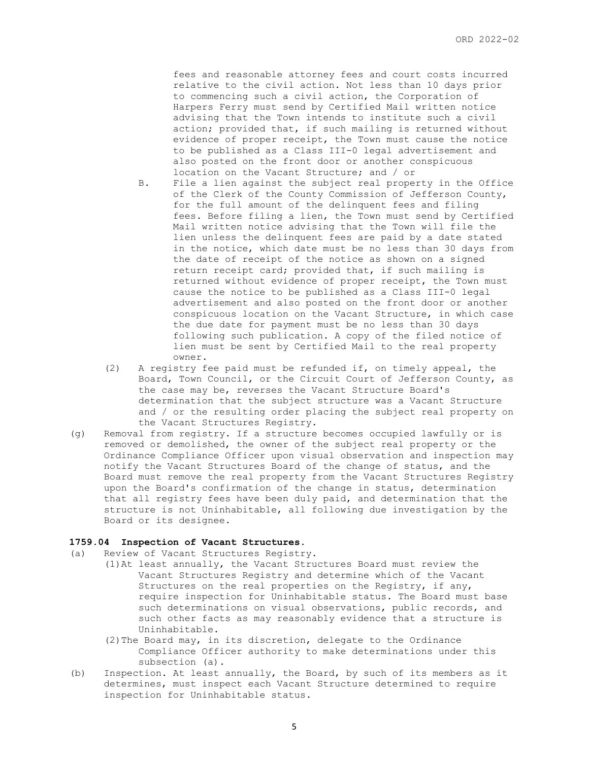fees and reasonable attorney fees and court costs incurred relative to the civil action. Not less than 10 days prior to commencing such a civil action, the Corporation of Harpers Ferry must send by Certified Mail written notice advising that the Town intends to institute such a civil action; provided that, if such mailing is returned without evidence of proper receipt, the Town must cause the notice to be published as a Class III-0 legal advertisement and also posted on the front door or another conspicuous location on the Vacant Structure; and / or

- B. File a lien against the subject real property in the Office of the Clerk of the County Commission of Jefferson County, for the full amount of the delinquent fees and filing fees. Before filing a lien, the Town must send by Certified Mail written notice advising that the Town will file the lien unless the delinquent fees are paid by a date stated in the notice, which date must be no less than 30 days from the date of receipt of the notice as shown on a signed return receipt card; provided that, if such mailing is returned without evidence of proper receipt, the Town must cause the notice to be published as a Class III-0 legal advertisement and also posted on the front door or another conspicuous location on the Vacant Structure, in which case the due date for payment must be no less than 30 days following such publication. A copy of the filed notice of lien must be sent by Certified Mail to the real property owner.
- (2) A registry fee paid must be refunded if, on timely appeal, the Board, Town Council, or the Circuit Court of Jefferson County, as the case may be, reverses the Vacant Structure Board's determination that the subject structure was a Vacant Structure and / or the resulting order placing the subject real property on the Vacant Structures Registry.
- (g) Removal from registry. If a structure becomes occupied lawfully or is removed or demolished, the owner of the subject real property or the Ordinance Compliance Officer upon visual observation and inspection may notify the Vacant Structures Board of the change of status, and the Board must remove the real property from the Vacant Structures Registry upon the Board's confirmation of the change in status, determination that all registry fees have been duly paid, and determination that the structure is not Uninhabitable, all following due investigation by the Board or its designee.

#### **1759.04 Inspection of Vacant Structures.**

- (a) Review of Vacant Structures Registry.
	- (1)At least annually, the Vacant Structures Board must review the Vacant Structures Registry and determine which of the Vacant Structures on the real properties on the Registry, if any, require inspection for Uninhabitable status. The Board must base such determinations on visual observations, public records, and such other facts as may reasonably evidence that a structure is Uninhabitable.
		- (2)The Board may, in its discretion, delegate to the Ordinance Compliance Officer authority to make determinations under this subsection (a).
- (b) Inspection. At least annually, the Board, by such of its members as it determines, must inspect each Vacant Structure determined to require inspection for Uninhabitable status.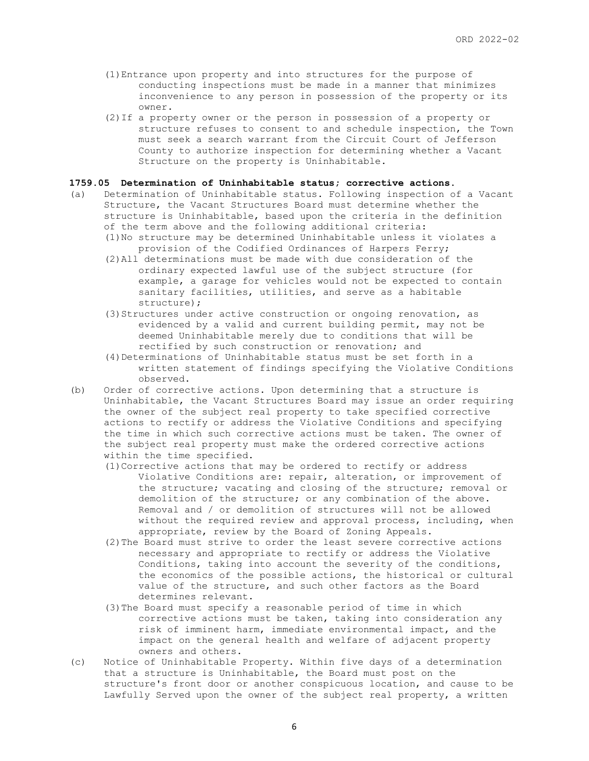- (1)Entrance upon property and into structures for the purpose of conducting inspections must be made in a manner that minimizes inconvenience to any person in possession of the property or its owner.
- (2)If a property owner or the person in possession of a property or structure refuses to consent to and schedule inspection, the Town must seek a search warrant from the Circuit Court of Jefferson County to authorize inspection for determining whether a Vacant Structure on the property is Uninhabitable.

#### **1759.05 Determination of Uninhabitable status; corrective actions.**

- (a) Determination of Uninhabitable status. Following inspection of a Vacant Structure, the Vacant Structures Board must determine whether the structure is Uninhabitable, based upon the criteria in the definition of the term above and the following additional criteria:
	- (1)No structure may be determined Uninhabitable unless it violates a provision of the Codified Ordinances of Harpers Ferry;
	- (2)All determinations must be made with due consideration of the ordinary expected lawful use of the subject structure (for example, a garage for vehicles would not be expected to contain sanitary facilities, utilities, and serve as a habitable structure);
	- (3) Structures under active construction or ongoing renovation, as evidenced by a valid and current building permit, may not be deemed Uninhabitable merely due to conditions that will be rectified by such construction or renovation; and
	- (4)Determinations of Uninhabitable status must be set forth in a written statement of findings specifying the Violative Conditions observed.
- (b) Order of corrective actions. Upon determining that a structure is Uninhabitable, the Vacant Structures Board may issue an order requiring the owner of the subject real property to take specified corrective actions to rectify or address the Violative Conditions and specifying the time in which such corrective actions must be taken. The owner of the subject real property must make the ordered corrective actions within the time specified.
	- (1)Corrective actions that may be ordered to rectify or address Violative Conditions are: repair, alteration, or improvement of the structure; vacating and closing of the structure; removal or demolition of the structure; or any combination of the above. Removal and / or demolition of structures will not be allowed without the required review and approval process, including, when appropriate, review by the Board of Zoning Appeals.
	- (2)The Board must strive to order the least severe corrective actions necessary and appropriate to rectify or address the Violative Conditions, taking into account the severity of the conditions, the economics of the possible actions, the historical or cultural value of the structure, and such other factors as the Board determines relevant.
	- (3)The Board must specify a reasonable period of time in which corrective actions must be taken, taking into consideration any risk of imminent harm, immediate environmental impact, and the impact on the general health and welfare of adjacent property owners and others.
- (c) Notice of Uninhabitable Property. Within five days of a determination that a structure is Uninhabitable, the Board must post on the structure's front door or another conspicuous location, and cause to be Lawfully Served upon the owner of the subject real property, a written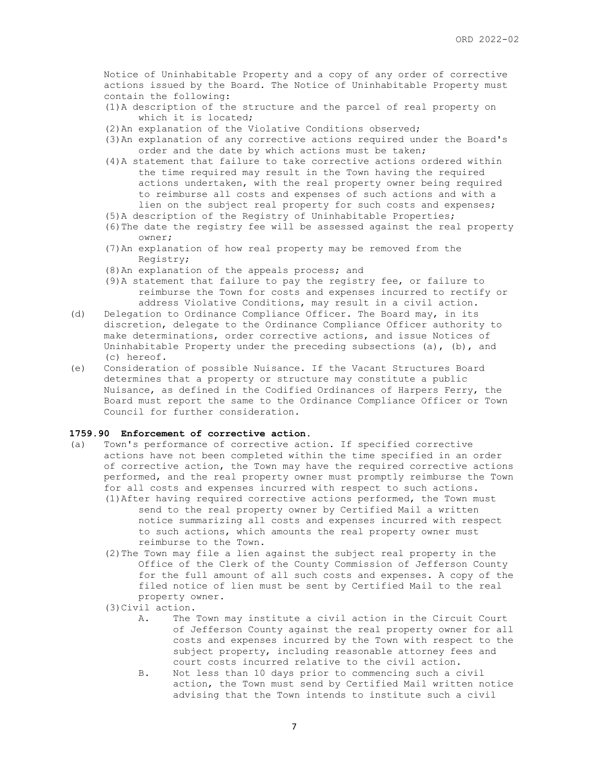Notice of Uninhabitable Property and a copy of any order of corrective actions issued by the Board. The Notice of Uninhabitable Property must contain the following:

- (1)A description of the structure and the parcel of real property on which it is located;
- (2)An explanation of the Violative Conditions observed;
- (3)An explanation of any corrective actions required under the Board's order and the date by which actions must be taken;
- (4)A statement that failure to take corrective actions ordered within the time required may result in the Town having the required actions undertaken, with the real property owner being required to reimburse all costs and expenses of such actions and with a lien on the subject real property for such costs and expenses;
- (5)A description of the Registry of Uninhabitable Properties;
- (6)The date the registry fee will be assessed against the real property owner;
- (7)An explanation of how real property may be removed from the Registry;
- (8)An explanation of the appeals process; and
- (9)A statement that failure to pay the registry fee, or failure to reimburse the Town for costs and expenses incurred to rectify or address Violative Conditions, may result in a civil action.
- (d) Delegation to Ordinance Compliance Officer. The Board may, in its discretion, delegate to the Ordinance Compliance Officer authority to make determinations, order corrective actions, and issue Notices of Uninhabitable Property under the preceding subsections (a), (b), and (c) hereof.
- (e) Consideration of possible Nuisance. If the Vacant Structures Board determines that a property or structure may constitute a public Nuisance, as defined in the Codified Ordinances of Harpers Ferry, the Board must report the same to the Ordinance Compliance Officer or Town Council for further consideration.

#### **1759.90 Enforcement of corrective action.**

- (a) Town's performance of corrective action. If specified corrective actions have not been completed within the time specified in an order of corrective action, the Town may have the required corrective actions performed, and the real property owner must promptly reimburse the Town for all costs and expenses incurred with respect to such actions. (1)After having required corrective actions performed, the Town must send to the real property owner by Certified Mail a written notice summarizing all costs and expenses incurred with respect to such actions, which amounts the real property owner must reimburse to the Town.
	- (2)The Town may file a lien against the subject real property in the Office of the Clerk of the County Commission of Jefferson County for the full amount of all such costs and expenses. A copy of the filed notice of lien must be sent by Certified Mail to the real property owner.
	- (3)Civil action.
		- A. The Town may institute a civil action in the Circuit Court of Jefferson County against the real property owner for all costs and expenses incurred by the Town with respect to the subject property, including reasonable attorney fees and court costs incurred relative to the civil action.
		- B. Not less than 10 days prior to commencing such a civil action, the Town must send by Certified Mail written notice advising that the Town intends to institute such a civil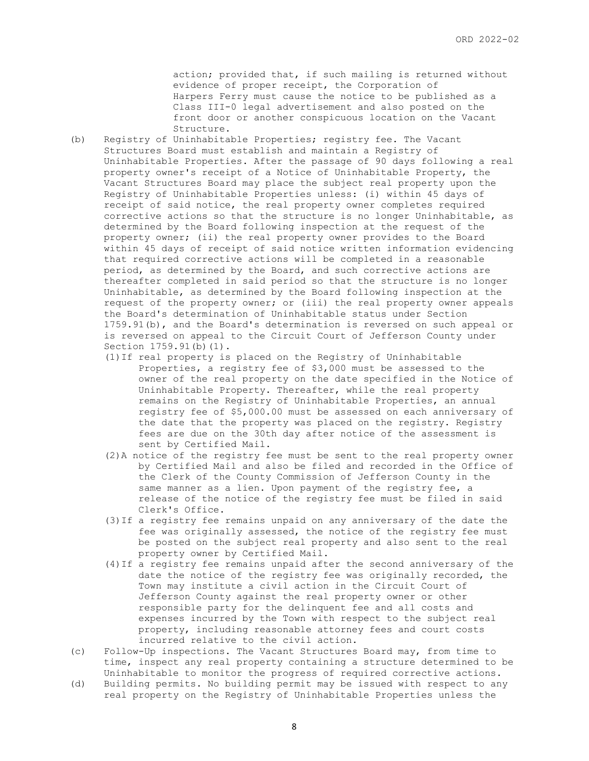action; provided that, if such mailing is returned without evidence of proper receipt, the Corporation of Harpers Ferry must cause the notice to be published as a Class III-0 legal advertisement and also posted on the front door or another conspicuous location on the Vacant Structure.

- (b) Registry of Uninhabitable Properties; registry fee. The Vacant Structures Board must establish and maintain a Registry of Uninhabitable Properties. After the passage of 90 days following a real property owner's receipt of a Notice of Uninhabitable Property, the Vacant Structures Board may place the subject real property upon the Registry of Uninhabitable Properties unless: (i) within 45 days of receipt of said notice, the real property owner completes required corrective actions so that the structure is no longer Uninhabitable, as determined by the Board following inspection at the request of the property owner; (ii) the real property owner provides to the Board within 45 days of receipt of said notice written information evidencing that required corrective actions will be completed in a reasonable period, as determined by the Board, and such corrective actions are thereafter completed in said period so that the structure is no longer Uninhabitable, as determined by the Board following inspection at the request of the property owner; or (iii) the real property owner appeals the Board's determination of Uninhabitable status under Section 1759.91(b), and the Board's determination is reversed on such appeal or is reversed on appeal to the Circuit Court of Jefferson County under Section 1759.91(b)(1).
	- (1)If real property is placed on the Registry of Uninhabitable Properties, a registry fee of \$3,000 must be assessed to the owner of the real property on the date specified in the Notice of Uninhabitable Property. Thereafter, while the real property remains on the Registry of Uninhabitable Properties, an annual registry fee of \$5,000.00 must be assessed on each anniversary of the date that the property was placed on the registry. Registry fees are due on the 30th day after notice of the assessment is sent by Certified Mail.
	- (2)A notice of the registry fee must be sent to the real property owner by Certified Mail and also be filed and recorded in the Office of the Clerk of the County Commission of Jefferson County in the same manner as a lien. Upon payment of the registry fee, a release of the notice of the registry fee must be filed in said Clerk's Office.
	- (3)If a registry fee remains unpaid on any anniversary of the date the fee was originally assessed, the notice of the registry fee must be posted on the subject real property and also sent to the real property owner by Certified Mail.
	- (4)If a registry fee remains unpaid after the second anniversary of the date the notice of the registry fee was originally recorded, the Town may institute a civil action in the Circuit Court of Jefferson County against the real property owner or other responsible party for the delinquent fee and all costs and expenses incurred by the Town with respect to the subject real property, including reasonable attorney fees and court costs incurred relative to the civil action.
- (c) Follow-Up inspections. The Vacant Structures Board may, from time to time, inspect any real property containing a structure determined to be Uninhabitable to monitor the progress of required corrective actions.
- (d) Building permits. No building permit may be issued with respect to any real property on the Registry of Uninhabitable Properties unless the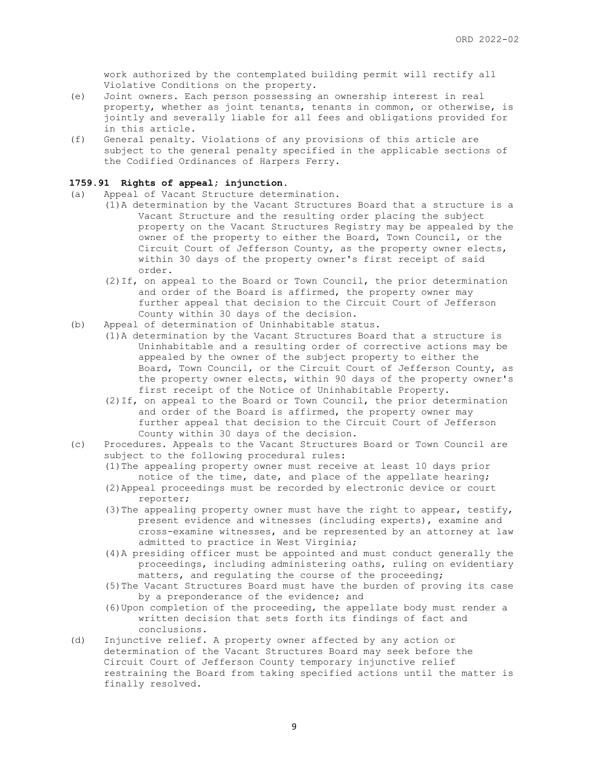work authorized by the contemplated building permit will rectify all Violative Conditions on the property.

- (e) Joint owners. Each person possessing an ownership interest in real property, whether as joint tenants, tenants in common, or otherwise, is jointly and severally liable for all fees and obligations provided for in this article.
- (f) General penalty. Violations of any provisions of this article are subject to the general penalty specified in the applicable sections of the Codified Ordinances of Harpers Ferry.

### **1759.91 Rights of appeal; injunction.**

- (a) Appeal of Vacant Structure determination.
	- (1)A determination by the Vacant Structures Board that a structure is a Vacant Structure and the resulting order placing the subject property on the Vacant Structures Registry may be appealed by the owner of the property to either the Board, Town Council, or the Circuit Court of Jefferson County, as the property owner elects, within 30 days of the property owner's first receipt of said order.
	- (2)If, on appeal to the Board or Town Council, the prior determination and order of the Board is affirmed, the property owner may further appeal that decision to the Circuit Court of Jefferson County within 30 days of the decision.
- (b) Appeal of determination of Uninhabitable status.
	- (1)A determination by the Vacant Structures Board that a structure is Uninhabitable and a resulting order of corrective actions may be appealed by the owner of the subject property to either the Board, Town Council, or the Circuit Court of Jefferson County, as the property owner elects, within 90 days of the property owner's first receipt of the Notice of Uninhabitable Property.
	- (2)If, on appeal to the Board or Town Council, the prior determination and order of the Board is affirmed, the property owner may further appeal that decision to the Circuit Court of Jefferson County within 30 days of the decision.
- (c) Procedures. Appeals to the Vacant Structures Board or Town Council are subject to the following procedural rules:
	- (1)The appealing property owner must receive at least 10 days prior notice of the time, date, and place of the appellate hearing; (2)Appeal proceedings must be recorded by electronic device or court
	- reporter; (3) The appealing property owner must have the right to appear, testify, present evidence and witnesses (including experts), examine and
		- cross-examine witnesses, and be represented by an attorney at law admitted to practice in West Virginia;
	- (4)A presiding officer must be appointed and must conduct generally the proceedings, including administering oaths, ruling on evidentiary matters, and regulating the course of the proceeding;
	- (5)The Vacant Structures Board must have the burden of proving its case by a preponderance of the evidence; and
	- (6)Upon completion of the proceeding, the appellate body must render a written decision that sets forth its findings of fact and conclusions.
- (d) Injunctive relief. A property owner affected by any action or determination of the Vacant Structures Board may seek before the Circuit Court of Jefferson County temporary injunctive relief restraining the Board from taking specified actions until the matter is finally resolved.